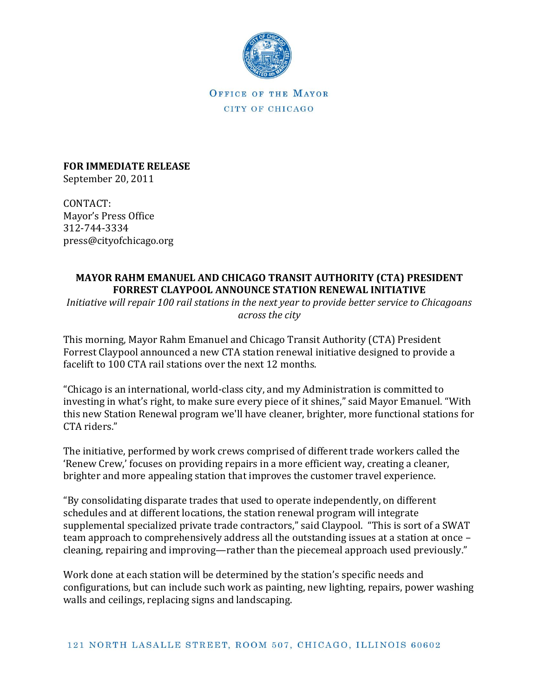

OFFICE OF THE MAYOR CITY OF CHICAGO

**FOR IMMEDIATE RELEASE**  September 20, 2011

CONTACT: Mayor's Press Office 312-744-3334 press@cityofchicago.org

## **MAYOR RAHM EMANUEL AND CHICAGO TRANSIT AUTHORITY (CTA) PRESIDENT FORREST CLAYPOOL ANNOUNCE STATION RENEWAL INITIATIVE**

*Initiative will repair 100 rail stations in the next year to provide better service to Chicagoans across the city*

This morning, Mayor Rahm Emanuel and Chicago Transit Authority (CTA) President Forrest Claypool announced a new CTA station renewal initiative designed to provide a facelift to 100 CTA rail stations over the next 12 months.

"Chicago is an international, world-class city, and my Administration is committed to investing in what's right, to make sure every piece of it shines," said Mayor Emanuel. "With this new Station Renewal program we'll have cleaner, brighter, more functional stations for CTA riders."

The initiative, performed by work crews comprised of different trade workers called the 'Renew Crew,' focuses on providing repairs in a more efficient way, creating a cleaner, brighter and more appealing station that improves the customer travel experience.

"By consolidating disparate trades that used to operate independently, on different schedules and at different locations, the station renewal program will integrate supplemental specialized private trade contractors," said Claypool. "This is sort of a SWAT team approach to comprehensively address all the outstanding issues at a station at once – cleaning, repairing and improving—rather than the piecemeal approach used previously."

Work done at each station will be determined by the station's specific needs and configurations, but can include such work as painting, new lighting, repairs, power washing walls and ceilings, replacing signs and landscaping.